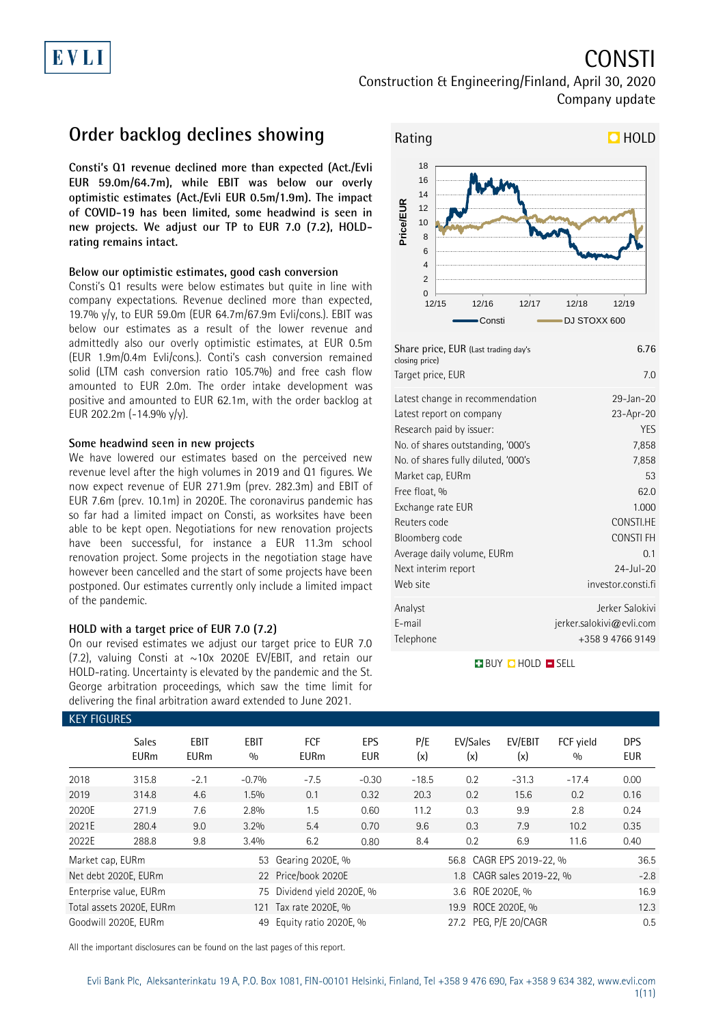# **CONSTI**

Construction & Engineering/Finland, April 30, 2020 Company update

## **Order backlog declines showing**

**Consti's Q1 revenue declined more than expected (Act./Evli EUR 59.0m/64.7m), while EBIT was below our overly optimistic estimates (Act./Evli EUR 0.5m/1.9m). The impact of COVID-19 has been limited, some headwind is seen in new projects. We adjust our TP to EUR 7.0 (7.2), HOLDrating remains intact.**

### **Below our optimistic estimates, good cash conversion**

Consti's Q1 results were below estimates but quite in line with company expectations. Revenue declined more than expected, 19.7% y/y, to EUR 59.0m (EUR 64.7m/67.9m Evli/cons.). EBIT was below our estimates as a result of the lower revenue and admittedly also our overly optimistic estimates, at EUR 0.5m (EUR 1.9m/0.4m Evli/cons.). Conti's cash conversion remained solid (LTM cash conversion ratio 105.7%) and free cash flow amounted to EUR 2.0m. The order intake development was positive and amounted to EUR 62.1m, with the order backlog at EUR 202.2m (-14.9% y/y).

### **Some headwind seen in new projects**

We have lowered our estimates based on the perceived new revenue level after the high volumes in 2019 and Q1 figures. We now expect revenue of EUR 271.9m (prev. 282.3m) and EBIT of EUR 7.6m (prev. 10.1m) in 2020E. The coronavirus pandemic has so far had a limited impact on Consti, as worksites have been able to be kept open. Negotiations for new renovation projects have been successful, for instance a EUR 11.3m school renovation project. Some projects in the negotiation stage have however been cancelled and the start of some projects have been postponed. Our estimates currently only include a limited impact of the pandemic.

### **HOLD with a target price of EUR 7.0 (7.2)**

On our revised estimates we adjust our target price to EUR 7.0 (7.2), valuing Consti at  $\sim$  10x 2020E EV/EBIT, and retain our HOLD-rating. Uncertainty is elevated by the pandemic and the St. George arbitration proceedings, which saw the time limit for delivering the final arbitration award extended to June 2021.



| Share price, EUR (Last trading day's<br>closing price) | 6.76                     |
|--------------------------------------------------------|--------------------------|
| Target price, EUR                                      | 7.0                      |
| Latest change in recommendation                        | 29-Jan-20                |
| Latest report on company                               | 23-Apr-20                |
| Research paid by issuer:                               | <b>YES</b>               |
| No. of shares outstanding, '000's                      | 7,858                    |
| No. of shares fully diluted, '000's                    | 7,858                    |
| Market cap, EURm                                       | 53                       |
| Free float, %                                          | 62.0                     |
| Exchange rate EUR                                      | 1.000                    |
| Reuters code                                           | CONSTI.HE                |
| Bloomberg code                                         | <b>CONSTIFH</b>          |
| Average daily volume, EURm                             | 0.1                      |
| Next interim report                                    | $24$ -Jul-20             |
| Web site                                               | investor.consti.fi       |
| Analyst                                                | Jerker Salokivi          |
| E-mail                                                 | jerker.salokivi@evli.com |
| Telephone                                              | +358 9 4766 9149         |

**BUY QHOLD SELL** 

| <b>KEY FIGURES</b> |                             |                            |                    |                            |            |                    |                          |                           |                  |                   |
|--------------------|-----------------------------|----------------------------|--------------------|----------------------------|------------|--------------------|--------------------------|---------------------------|------------------|-------------------|
|                    | <b>Sales</b><br><b>EURm</b> | <b>EBIT</b><br><b>EURm</b> | <b>EBIT</b><br>0/0 | FCF<br><b>EURm</b>         | EPS<br>EUR | P/E<br>(x)         | EV/Sales<br>(x)          | EV/EBIT<br>(x)            | FCF yield<br>0/0 | <b>DPS</b><br>EUR |
| 2018               | 315.8                       | $-2.1$                     | $-0.7%$            | $-7.5$                     | $-0.30$    | $-18.5$            | 0.2                      | $-31.3$                   | $-17.4$          | 0.00              |
| 2019               | 314.8                       | 4.6                        | $1.5\%$            | 0.1                        | 0.32       | 20.3               | 0.2                      | 15.6                      | 0.2              | 0.16              |
| 2020E              | 271.9                       | 7.6                        | 2.8%               | 1.5                        | 0.60       | 11.2               | 0.3                      | 9.9                       | 2.8              | 0.24              |
| 2021E              | 280.4                       | 9.0                        | 3.2%               | 5.4                        | 0.70       | 9.6                | 0.3                      | 7.9                       | 10.2             | 0.35              |
| 2022E              | 288.8                       | 9.8                        | 3.4%               | 6.2                        | 0.80       | 8.4                | 0.2                      | 6.9                       | 11.6             | 0.40              |
| Market cap, EURm   |                             |                            | 53                 | Gearing 2020E, %           |            |                    | 56.8 CAGR EPS 2019-22, % | 36.5                      |                  |                   |
|                    | Net debt 2020E, EURm        |                            |                    | 22 Price/book 2020E        |            |                    |                          | 1.8 CAGR sales 2019-22, % |                  | $-2.8$            |
|                    | Enterprise value, EURm      |                            |                    | 75 Dividend yield 2020E, % |            | 3.6 ROE 2020E, %   |                          |                           | 16.9             |                   |
|                    | Total assets 2020E, EURm    |                            | 121                | Tax rate 2020E, %          |            | 19.9 ROCE 2020E, % |                          |                           |                  | 12.3              |
|                    | Goodwill 2020E, EURm        |                            | 49                 | Equity ratio 2020E, %      |            |                    | 27.2 PEG, P/E 20/CAGR    |                           |                  | 0.5               |

All the important disclosures can be found on the last pages of this report.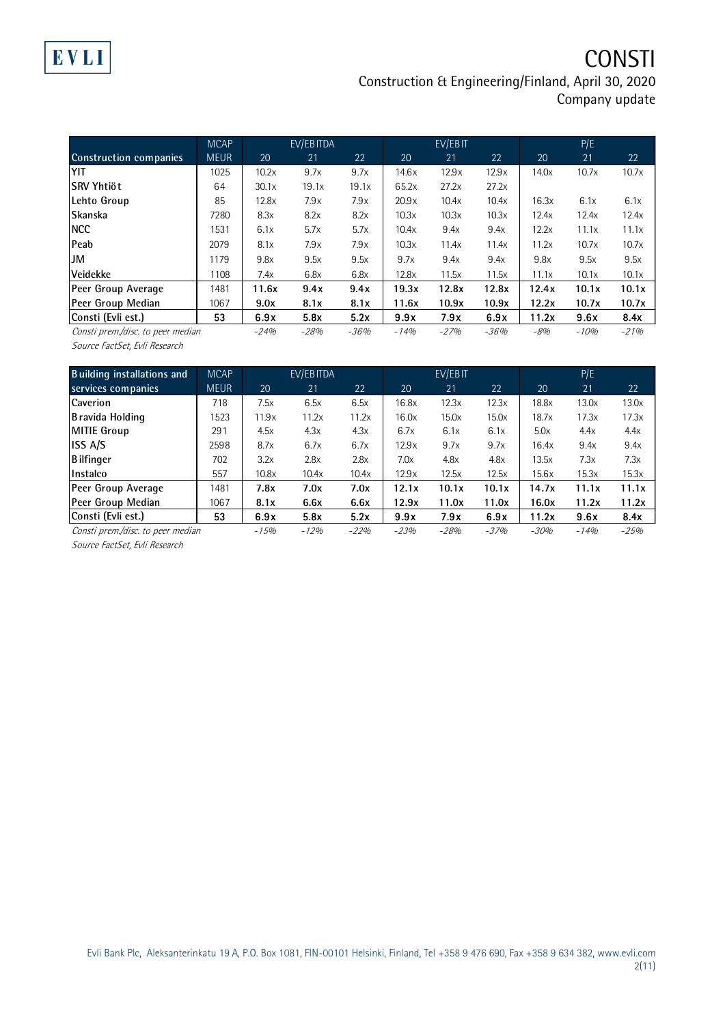CONSTI

Construction & Engineering/Finland, April 30, 2020 Company update

|                                   | <b>MCAP</b> |        | EV/EBITDA |        |        | EV/EBIT |        |       | P/E    |        |
|-----------------------------------|-------------|--------|-----------|--------|--------|---------|--------|-------|--------|--------|
| <b>Construction companies</b>     | <b>MEUR</b> | 20     | 21        | 22     | 20     | 21      | 22     | 20    | 21     | 22     |
| YIT                               | 1025        | 10.2x  | 9.7x      | 9.7x   | 14.6x  | 12.9x   | 12.9x  | 14.0x | 10.7x  | 10.7x  |
| lSRV Yhtiöt                       | 64          | 30.1x  | 19.1x     | 19.1x  | 65.2x  | 27.2x   | 27.2x  |       |        |        |
| Lehto Group                       | 85          | 12.8x  | 7.9x      | 7.9x   | 20.9x  | 10.4x   | 10.4x  | 16.3x | 6.1x   | 6.1x   |
| <b>Skanska</b>                    | 7280        | 8.3x   | 8.2x      | 8.2x   | 10.3x  | 10.3x   | 10.3x  | 12.4x | 12.4x  | 12.4x  |
| <b>INCC</b>                       | 1531        | 6.1x   | 5.7x      | 5.7x   | 10.4x  | 9.4x    | 9.4x   | 12.2x | 11.1x  | 11.1x  |
| <b>Peab</b>                       | 2079        | 8.1x   | 7.9x      | 7.9x   | 10.3x  | 11.4x   | 11.4x  | 11.2x | 10.7x  | 10.7x  |
| <b>JM</b>                         | 1179        | 9.8x   | 9.5x      | 9.5x   | 9.7x   | 9.4x    | 9.4x   | 9.8x  | 9.5x   | 9.5x   |
| Veidekke                          | 1108        | 7.4x   | 6.8x      | 6.8x   | 12.8x  | 11.5x   | 11.5x  | 11.1x | 10.1x  | 10.1x  |
| Peer Group Average                | 1481        | 11.6x  | 9.4x      | 9.4x   | 19.3x  | 12.8x   | 12.8x  | 12.4x | 10.1x  | 10.1x  |
| Peer Group Median                 | 1067        | 9.0x   | 8.1x      | 8.1x   | 11.6x  | 10.9x   | 10.9x  | 12.2x | 10.7x  | 10.7x  |
| Consti (Evli est.)                | 53          | 6.9x   | 5.8x      | 5.2x   | 9.9x   | 7.9x    | 6.9x   | 11.2x | 9.6x   | 8.4x   |
| Consti prem./disc. to peer median |             | $-24%$ | $-28%$    | $-36%$ | $-14%$ | $-27%$  | $-36%$ | $-8%$ | $-10%$ | $-21%$ |

Source FactSet, Evli Research

| <b>Building installations and</b> | <b>MCAP</b> |        | EV/EBITDA |        |        | EV/EBIT |        |        | P/E    |        |
|-----------------------------------|-------------|--------|-----------|--------|--------|---------|--------|--------|--------|--------|
| services companies                | <b>MEUR</b> | 20     | 21        | 22     | 20     | 21      | 22     | 20     | 21     | 22     |
| <b>Caverion</b>                   | 718         | 7.5x   | 6.5x      | 6.5x   | 16.8x  | 12.3x   | 12.3x  | 18.8x  | 13.0x  | 13.0x  |
| Bravida Holding                   | 1523        | 11.9x  | 11.2x     | 11.2x  | 16.0x  | 15.0x   | 15.0x  | 18.7x  | 17.3x  | 17.3x  |
| MITIE Group                       | 291         | 4.5x   | 4.3x      | 4.3x   | 6.7x   | 6.1x    | 6.1x   | 5.0x   | 4.4x   | 4.4x   |
| <b>ISS A/S</b>                    | 2598        | 8.7x   | 6.7x      | 6.7x   | 12.9x  | 9.7x    | 9.7x   | 16.4x  | 9.4x   | 9.4x   |
| <b>Bilfinger</b>                  | 702         | 3.2x   | 2.8x      | 2.8x   | 7.0x   | 4.8x    | 4.8x   | 13.5x  | 7.3x   | 7.3x   |
| Instalco                          | 557         | 10.8x  | 10.4x     | 10.4x  | 12.9x  | 12.5x   | 12.5x  | 15.6x  | 15.3x  | 15.3x  |
| Peer Group Average                | 1481        | 7.8x   | 7.0x      | 7.0x   | 12.1x  | 10.1x   | 10.1x  | 14.7x  | 11.1x  | 11.1x  |
| Peer Group Median                 | 1067        | 8.1x   | 6.6x      | 6.6x   | 12.9x  | 11.0x   | 11.0x  | 16.0x  | 11.2x  | 11.2x  |
| Consti (Evli est.)                | 53          | 6.9x   | 5.8x      | 5.2x   | 9.9x   | 7.9x    | 6.9x   | 11.2x  | 9.6x   | 8.4x   |
| Consti prem./disc. to peer median |             | $-15%$ | $-12%$    | $-22%$ | $-23%$ | $-28%$  | $-37%$ | $-30%$ | $-14%$ | $-25%$ |

Source FactSet, Evli Research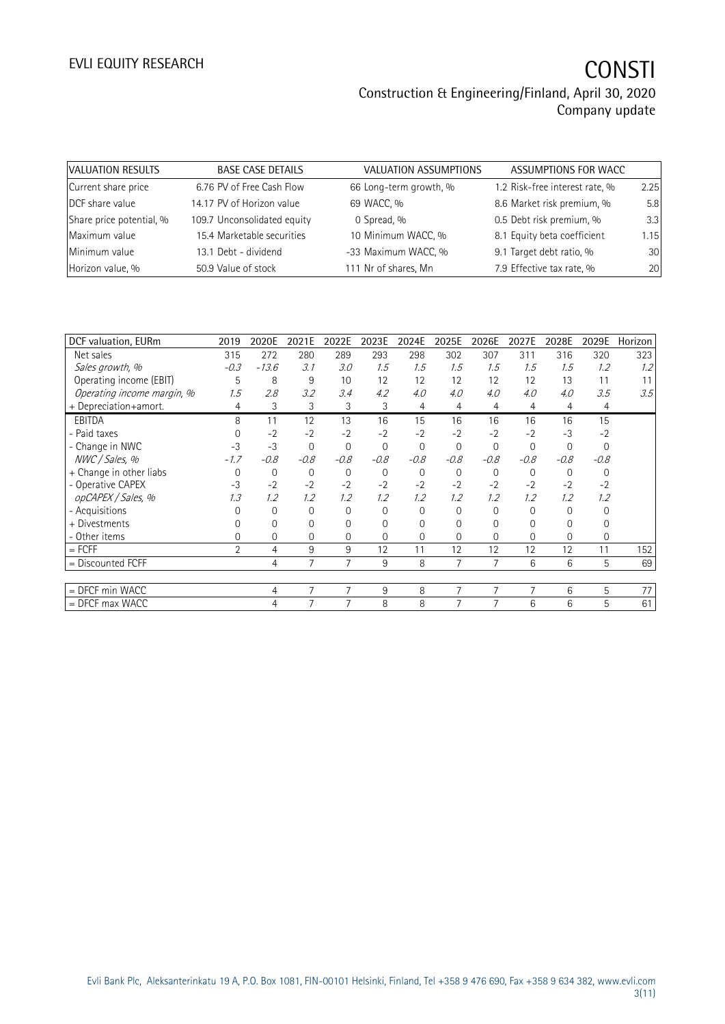| VALUATION RESULTS        | <b>BASE CASE DETAILS</b>    | VALUATION ASSUMPTIONS  | ASSUMPTIONS FOR WACC           |      |
|--------------------------|-----------------------------|------------------------|--------------------------------|------|
| Current share price      | 6.76 PV of Free Cash Flow   | 66 Long-term growth, % | 1.2 Risk-free interest rate, % | 2.25 |
| DCF share value          | 14.17 PV of Horizon value   | 69 WACC, %             | 8.6 Market risk premium, %     | 5.8  |
| Share price potential, % | 109.7 Unconsolidated equity | 0 Spread, %            | 0.5 Debt risk premium, %       | 3.3  |
| Maximum value            | 15.4 Marketable securities  | 10 Minimum WACC, %     | 8.1 Equity beta coefficient    | 1.15 |
| Minimum value            | 13.1 Debt - dividend        | -33 Maximum WACC, %    | 9.1 Target debt ratio, %       | 30   |
| Horizon value, %         | 50.9 Value of stock         | 111 Nr of shares, Mn   | 7.9 Effective tax rate, %      | 20   |

| DCF valuation, EURm        | 2019     | 2020E          | 2021E    | 2022E          | 2023E          | 2024E          | 2025E          | 2026E       | 2027E    | 2028E       | 2029E          | Horizon |
|----------------------------|----------|----------------|----------|----------------|----------------|----------------|----------------|-------------|----------|-------------|----------------|---------|
| Net sales                  | 315      | 272            | 280      | 289            | 293            | 298            | 302            | 307         | 311      | 316         | 320            | 323     |
| Sales growth, %            | $-0.3$   | $-13.6$        | 3.1      | 3.0            | 1.5            | 1.5            | 1.5            | 1.5         | 1.5      | 1.5         | 1.2            | 1.2     |
| Operating income (EBIT)    | 5        | 8              | 9        | 10             | 12             | 12             | 12             | 12          | 12       | 13          | 11             | 11      |
| Operating income margin, % | 1.5      | 2.8            | 3.2      | 3.4            | 4.2            | 4.0            | 4.0            | 4.0         | 4.0      | 4.0         | 3.5            | 3.5     |
| + Depreciation+amort.      | 4        | 3              | 3        | 3              | 3              | 4              | 4              | 4           | 4        | 4           | 4              |         |
| <b>EBITDA</b>              | 8        | 11             | 12       | 13             | 16             | 15             | 16             | 16          | 16       | 16          | 15             |         |
| - Paid taxes               | 0        | $-2$           | $-2$     | $-2$           | $-2$           | $-2$           | $-2$           | $-2$        | $-2$     | $-3$        | $-2$           |         |
| - Change in NWC            | $-3$     | $-3$           | $\Omega$ | $\mathbf 0$    | $\mathbf 0$    | $\overline{0}$ | $\mathbf{0}$   | $\mathbf 0$ | $\Omega$ | $\mathbf 0$ | $\mathbf{0}$   |         |
| NWC / Sales, %             | $-1.7$   | $-0.8$         | $-0.8$   | $-0.8$         | $-0.8$         | $-0.8$         | $-0.8$         | $-0.8$      | $-0.8$   | $-0.8$      | $-0.8$         |         |
| + Change in other liabs    | $\Omega$ | $\mathbf 0$    | $\Omega$ | $\overline{0}$ | $\mathbf{0}$   | $\Omega$       | $\Omega$       | $\mathbf 0$ | $\Omega$ | $\Omega$    | $\Omega$       |         |
| - Operative CAPEX          | $-3$     | $-2$           | $-2$     | $-2$           | $-2$           | $-2$           | $-2$           | $-2$        | $-2$     | $-2$        | $-2$           |         |
| opCAPEX / Sales, %         | 1.3      | 1.2            | 1.2      | 1.2            | 1.2            | 1.2            | 1.2            | 1.2         | 1.2      | 1.2         | 1.2            |         |
| - Acquisitions             | $\Omega$ | $\mathbf{0}$   | $\Omega$ | $\Omega$       | $\overline{0}$ | $\Omega$       | $\Omega$       | $\Omega$    | $\Omega$ | $\Omega$    | $\Omega$       |         |
| + Divestments              | $\Omega$ | 0              | 0        | 0              | $\overline{0}$ | 0              | 0              | 0           | 0        | 0           | 0              |         |
| - Other items              | $\Omega$ | 0              | 0        | $\Omega$       | $\overline{0}$ | $\Omega$       | $\Omega$       | 0           | $\Omega$ | $\Omega$    | $\overline{0}$ |         |
| $=$ FCFF                   | 2        | 4              | 9        | 9              | 12             | 11             | 12             | 12          | 12       | 12          | 11             | 152     |
| $=$ Discounted FCFF        |          | $\overline{4}$ | 7        | 7              | 9              | 8              | 7              | 7           | 6        | 6           | 5              | 69      |
|                            |          |                |          |                |                |                |                |             |          |             |                |         |
| $=$ DFCF min WACC          |          | 4              | 7        | 7              | 9              | 8              | $\overline{7}$ | 7           | 7        | 6           | 5              | 77      |
| $=$ DFCF max WACC          |          | 4              | 7        | $\overline{7}$ | 8              | 8              | 7              | 7           | 6        | 6           | 5              | 61      |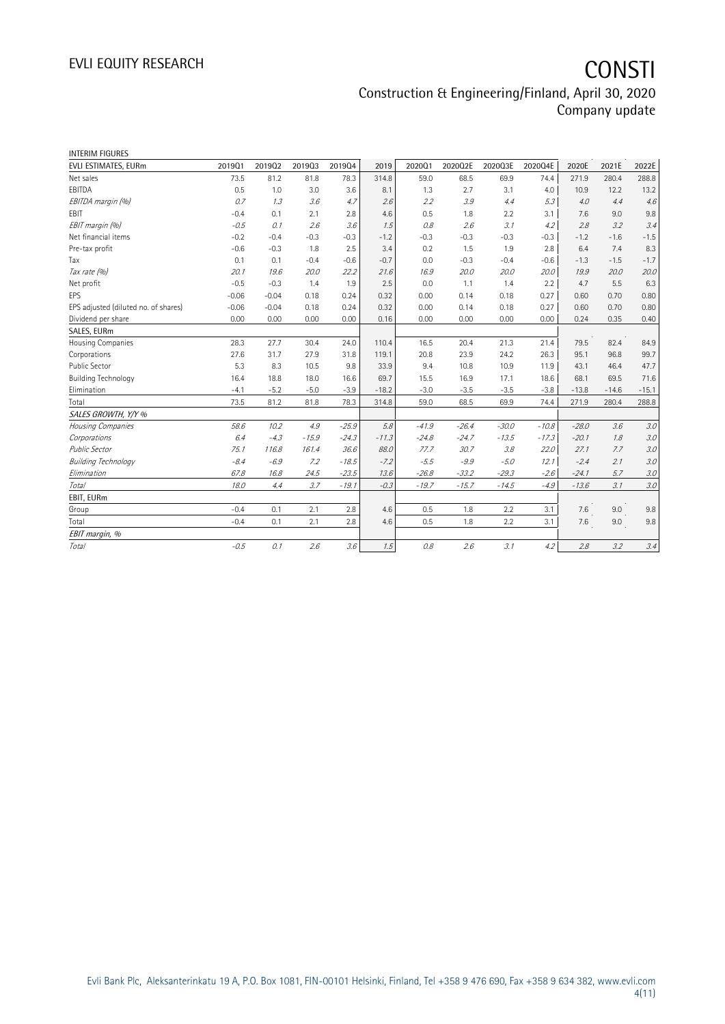# EVLI EQUITY RESEARCH **CONSTI** Construction & Engineering/Finland, April 30, 2020

Company update

| INTERIM FIGURES                      |         |         |         |         |         |         |         |         |         |         |         |         |
|--------------------------------------|---------|---------|---------|---------|---------|---------|---------|---------|---------|---------|---------|---------|
| EVLI ESTIMATES, EURm                 | 201901  | 201902  | 201903  | 201904  | 2019    | 202001  | 2020Q2E | 2020Q3E | 2020Q4E | 2020E   | 2021E   | 2022E   |
| Net sales                            | 73.5    | 81.2    | 81.8    | 78.3    | 314.8   | 59.0    | 68.5    | 69.9    | 74.4    | 271.9   | 280.4   | 288.8   |
| EBITDA                               | 0.5     | 1.0     | 3.0     | 3.6     | 8.1     | 1.3     | 2.7     | 3.1     | 4.0     | 10.9    | 12.2    | 13.2    |
| EBITDA margin (%)                    | 0.7     | 1.3     | 3.6     | 4.7     | 2.6     | 2.2     | 3.9     | 4.4     | 5.3     | 4.0     | 4.4     | 4.6     |
| EBIT                                 | $-0.4$  | 0.1     | 2.1     | 2.8     | 4.6     | 0.5     | 1.8     | 2.2     | 3.1     | 7.6     | 9.0     | 9.8     |
| EBIT margin (%)                      | $-0.5$  | 0.1     | 2.6     | 3.6     | 1.5     | 0.8     | 2.6     | 3.1     | 4.2     | 2.8     | 3.2     | 3.4     |
| Net financial items                  | $-0.2$  | $-0.4$  | $-0.3$  | $-0.3$  | $-1.2$  | $-0.3$  | $-0.3$  | $-0.3$  | $-0.3$  | $-1.2$  | $-1.6$  | $-1.5$  |
| Pre-tax profit                       | $-0.6$  | $-0.3$  | 1.8     | 2.5     | 3.4     | 0.2     | 1.5     | 1.9     | 2.8     | 6.4     | 7.4     | 8.3     |
| Tax                                  | 0.1     | 0.1     | $-0.4$  | $-0.6$  | $-0.7$  | 0.0     | $-0.3$  | $-0.4$  | $-0.6$  | $-1.3$  | $-1.5$  | $-1.7$  |
| Tax rate (%)                         | 20.1    | 19.6    | 20.0    | 22.2    | 21.6    | 16.9    | 20.0    | 20.0    | 20.0    | 19.9    | 20.0    | 20.0    |
| Net profit                           | $-0.5$  | $-0.3$  | 1.4     | 1.9     | 2.5     | 0.0     | 1.1     | 1.4     | 2.2     | 4.7     | 5.5     | 6.3     |
| EPS                                  | $-0.06$ | $-0.04$ | 0.18    | 0.24    | 0.32    | 0.00    | 0.14    | 0.18    | 0.27    | 0.60    | 0.70    | 0.80    |
| EPS adjusted (diluted no. of shares) | $-0.06$ | $-0.04$ | 0.18    | 0.24    | 0.32    | 0.00    | 0.14    | 0.18    | 0.27    | 0.60    | 0.70    | 0.80    |
| Dividend per share                   | 0.00    | 0.00    | 0.00    | 0.00    | 0.16    | 0.00    | 0.00    | 0.00    | 0.00    | 0.24    | 0.35    | 0.40    |
| SALES, EURm                          |         |         |         |         |         |         |         |         |         |         |         |         |
| Housing Companies                    | 28.3    | 27.7    | 30.4    | 24.0    | 110.4   | 16.5    | 20.4    | 21.3    | 21.4    | 79.5    | 82.4    | 84.9    |
| Corporations                         | 27.6    | 31.7    | 27.9    | 31.8    | 119.1   | 20.8    | 23.9    | 24.2    | 26.3    | 95.1    | 96.8    | 99.7    |
| <b>Public Sector</b>                 | 5.3     | 8.3     | 10.5    | 9.8     | 33.9    | 9.4     | 10.8    | 10.9    | 11.9    | 43.1    | 46.4    | 47.7    |
| <b>Building Technology</b>           | 16.4    | 18.8    | 18.0    | 16.6    | 69.7    | 15.5    | 16.9    | 17.1    | 18.6    | 68.1    | 69.5    | 71.6    |
| Elimination                          | $-4.1$  | $-5.2$  | $-5.0$  | $-3.9$  | $-18.2$ | $-3.0$  | $-3.5$  | $-3.5$  | $-3.8$  | $-13.8$ | $-14.6$ | $-15.1$ |
| Total                                | 73.5    | 81.2    | 81.8    | 78.3    | 314.8   | 59.0    | 68.5    | 69.9    | 74.4    | 271.9   | 280.4   | 288.8   |
| SALES GROWTH, Y/Y %                  |         |         |         |         |         |         |         |         |         |         |         |         |
| Housing Companies                    | 58.6    | 10.2    | 4.9     | $-25.9$ | 5.8     | $-41.9$ | $-26.4$ | $-30.0$ | $-10.8$ | $-28.0$ | 3.6     | 3.0     |
| Corporations                         | 6.4     | $-4.3$  | $-15.9$ | $-24.3$ | $-11.3$ | $-24.8$ | $-24.7$ | $-13.5$ | $-17.3$ | $-20.1$ | 1.8     | 3.0     |
| <b>Public Sector</b>                 | 75.1    | 116.8   | 161.4   | 36.6    | 88.0    | 77.7    | 30.7    | 3.8     | 22.0    | 27.1    | 7.7     | 3.0     |
| <b>Building Technology</b>           | $-8.4$  | $-6.9$  | 7.2     | $-18.5$ | $-7.2$  | $-5.5$  | $-9.9$  | $-5.0$  | 12.1    | $-2.4$  | 2.1     | 3.0     |
| Elimination                          | 67.8    | 16.8    | 24.5    | $-23.5$ | 13.6    | $-26.8$ | $-33.2$ | $-29.3$ | $-2.6$  | $-24.1$ | 5.7     | 3.0     |
| Total                                | 18.0    | 4.4     | 3.7     | $-19.1$ | $-0.3$  | $-19.7$ | $-15.7$ | $-14.5$ | $-4.9$  | $-13.6$ | 3.1     | 3.0     |
| EBIT, EURm                           |         |         |         |         |         |         |         |         |         |         |         |         |
| Group                                | $-0.4$  | 0.1     | 2.1     | 2.8     | 4.6     | 0.5     | 1.8     | 2.2     | 3.1     | 7.6     | 9.0     | 9.8     |
| Total                                | $-0.4$  | 0.1     | 2.1     | 2.8     | 4.6     | 0.5     | 1.8     | 2.2     | 3.1     | 7.6     | 9.0     | 9.8     |
| EBIT margin, %                       |         |         |         |         |         |         |         |         |         |         |         |         |
| Total                                | $-0.5$  | 0.1     | 2.6     | 3.6     | 1.5     | 0.8     | 2.6     | 3.1     | 4.2     | 2.8     | 3.2     | 3.4     |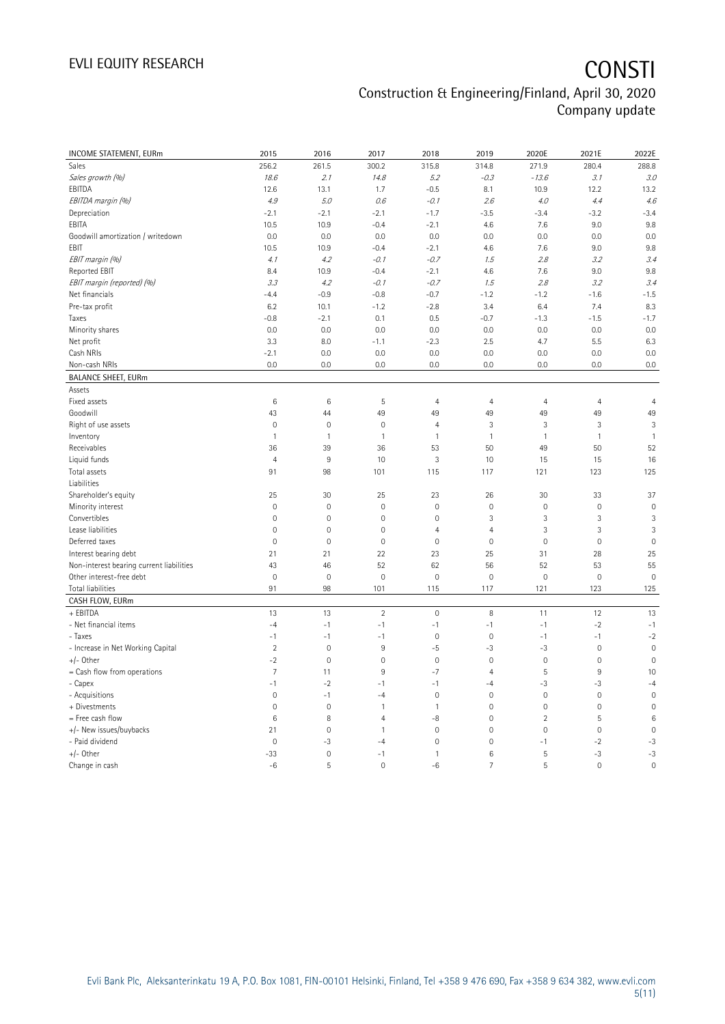# EVLI EQUITY RESEARCH **CONSTI**

## Construction & Engineering/Finland, April 30, 2020 Company update

| INCOME STATEMENT, EURm                   | 2015            | 2016         | 2017           | 2018         | 2019           | 2020E               | 2021E        | 2022E           |
|------------------------------------------|-----------------|--------------|----------------|--------------|----------------|---------------------|--------------|-----------------|
| Sales                                    | 256.2           | 261.5        | 300.2          | 315.8        | 314.8          | 271.9               | 280.4        | 288.8           |
| Sales growth (%)                         | 18.6            | 2.1          | 14.8           | 5.2          | $-0.3$         | $-13.6$             | 3.1          | 3.0             |
| EBITDA                                   | 12.6            | 13.1         | 1.7            | $-0.5$       | 8.1            | 10.9                | 12.2         | 13.2            |
| EBITDA margin (%)                        | $4.9\,$         | 5.0          | 0.6            | $-0.1$       | 2.6            | 4.0                 | 4.4          | 4.6             |
| Depreciation                             | $-2.1$          | $-2.1$       | $-2.1$         | $-1.7$       | $-3.5$         | $-3.4$              | $-3.2$       | $-3.4$          |
| EBITA                                    | 10.5            | 10.9         | $-0.4$         | $-2.1$       | 4.6            | 7.6                 | 9.0          | 9.8             |
| Goodwill amortization / writedown        | 0.0             | 0.0          | 0.0            | 0.0          | 0.0            | 0.0                 | 0.0          | 0.0             |
| EBIT                                     | 10.5            | 10.9         | $-0.4$         | $-2.1$       | 4.6            | 7.6                 | 9.0          | 9.8             |
| EBIT margin (%)                          | 4.1             | 4.2          | $-0.1$         | $-0.7$       | 1.5            | 2.8                 | 3.2          | 3.4             |
| Reported EBIT                            | 8.4             | 10.9         | $-0.4$         | $-2.1$       | 4.6            | 7.6                 | 9.0          | 9.8             |
| EBIT margin (reported) (%)               | 3.3             | 4.2          | $-0.1$         | $-0.7$       | 1.5            | 2.8                 | 3.2          | 3.4             |
| Net financials                           | $-4.4$          | $-0.9$       | $-0.8$         | $-0.7$       | $-1.2$         | $-1.2$              | $-1.6$       | $-1.5$          |
| Pre-tax profit                           | 6.2             | 10.1         | $-1.2$         | $-2.8$       | 3.4            | 6.4                 | 7.4          | 8.3             |
| Taxes                                    | $-0.8$          | $-2.1$       | 0.1            | 0.5          | $-0.7$         | $-1.3$              | $-1.5$       | $-1.7$          |
| Minority shares                          | 0.0             | 0.0          | 0.0            | 0.0          | 0.0            | 0.0                 | 0.0          | 0.0             |
| Net profit                               | 3.3             | 8.0          | $-1.1$         | $-2.3$       | 2.5            | 4.7                 | 5.5          | 6.3             |
| Cash NRIs                                | $-2.1$          | 0.0          | 0.0            | 0.0          | 0.0            | 0.0                 | 0.0          | 0.0             |
| Non-cash NRIs                            | 0.0             | 0.0          | 0.0            | 0.0          | 0.0            | 0.0                 | 0.0          | 0.0             |
| <b>BALANCE SHEET, EURm</b>               |                 |              |                |              |                |                     |              |                 |
| Assets                                   |                 |              |                |              |                |                     |              |                 |
| Fixed assets                             | 6               | 6            | 5              | 4            | $\overline{4}$ | $\overline{4}$      | 4            | $\overline{4}$  |
| Goodwill                                 | 43              | 44           | 49             | 49           | 49             | 49                  | 49           | 49              |
| Right of use assets                      | $\mathbf 0$     | $\mathbf 0$  | $\mathbf 0$    | 4            | 3              | 3                   | 3            | 3               |
| Inventory                                | $\mathbf{1}$    | $\mathbf{1}$ | $\overline{1}$ | 1            | $\mathbf{1}$   | $\mathbf{1}$        | $\mathbf{1}$ | $\mathbf{1}$    |
| Receivables                              | 36              | 39           | 36             | 53           | 50             | 49                  | 50           | 52              |
| Liquid funds                             | $\overline{4}$  | $\,9$        | 10             | $\sqrt{3}$   | 10             | 15                  | 15           | 16              |
| Total assets                             | 91              | 98           | 101            | 115          | 117            | 121                 | 123          | 125             |
| Liabilities                              |                 |              |                |              |                |                     |              |                 |
| Shareholder's equity                     | 25              | 30           | 25             | 23           | 26             | 30                  | 33           | 37              |
| Minority interest                        | $\mathbf 0$     | $\mathbf 0$  | $\mathbf 0$    | $\mathbf 0$  | $\mathbf 0$    | $\mathbf 0$         | $\mathbf 0$  | $\mathbf 0$     |
| Convertibles                             | $\overline{0}$  | $\mathbf 0$  | $\mathbf 0$    | $\mathbf{0}$ | 3              | $\sqrt{3}$          | 3            | 3               |
| Lease liabilities                        | $\mathbf 0$     | $\mathbf 0$  | $\mathbf 0$    | 4            | $\overline{4}$ | 3                   | 3            | 3               |
| Deferred taxes                           | $\mathbf 0$     | $\mathbf 0$  | $\mathbf 0$    | $\mathbf 0$  | $\mathbf 0$    | $\mathbf 0$         | $\mathbf 0$  | $\mathbf 0$     |
| Interest bearing debt                    | 21              | 21           | 22             | 23           | 25             | 31                  | 28           | 25              |
| Non-interest bearing current liabilities | 43              | 46           | 52             | 62           | 56             | 52                  | 53           | 55              |
| Other interest-free debt                 | $\overline{0}$  | $\mathbf 0$  | $\mathbf 0$    | $\mathbf{0}$ | $\mathbf 0$    | $\mathbf 0$         | $\mathbf{0}$ | $\overline{0}$  |
| Total liabilities                        | 91              | 98           | 101            | 115          | 117            | 121                 | 123          | 125             |
| CASH FLOW, EURm                          |                 |              |                |              |                |                     |              |                 |
| + EBITDA                                 | 13              | 13           | $\overline{2}$ | $\mathbf 0$  | 8              | 11                  | 12           | 13              |
| - Net financial items                    | $-4$            | $-1$         | $-1$           | $-1$         | $-1$           | $-1$                | $-2$         | $-1$            |
| - Taxes                                  | $-1$            | $-1$         | $-1$           | $\mathbf 0$  | $\mathbf 0$    | $-1$                | $-1$         | $-2$            |
| - Increase in Net Working Capital        | $\overline{2}$  | $\mathbf 0$  | 9              | $-5$         | -3             | -3                  | $\mathbf 0$  | $\mathbf 0$     |
| +/- Other                                | $-2$            | $\mathbf 0$  | $\mathbf 0$    | $\mathbf 0$  | $\mathbf 0$    | $\mathbb O$         | $\mathbf 0$  | $\mathbf 0$     |
| = Cash flow from operations              | $\overline{7}$  | 11           | $9\,$          | $-7$         | $\overline{4}$ | $\sqrt{5}$          | $9\,$        | 10              |
| - Capex                                  | $-1$            | $-2$         | $-1$           | $-1$         | $-4$           | $-3$                | $-3$         | $-4$            |
| - Acquisitions                           | $\mathbf 0$     | $-1$         | $-4$           | $\circ$      | $\mathbf 0$    | $\mathsf{O}\xspace$ | $\mathbf 0$  | $\mathbf 0$     |
| + Divestments                            | $\overline{0}$  | $\mathbf 0$  | $\mathbf{1}$   | 1            | $\mathbf 0$    | $\mathbf 0$         | $\mathbf 0$  | $\overline{0}$  |
| = Free cash flow                         | $6\phantom{1}6$ | 8            | $\overline{4}$ | $-8$         | $\mathbf 0$    | $\sqrt{2}$          | 5            | $6\phantom{1}6$ |
| +/- New issues/buybacks                  | 21              | $\mathbf 0$  | $\mathbf{1}$   | $\mathbf 0$  | $\mathbf 0$    | $\mathsf{O}\xspace$ | $\mathbf 0$  | $\mathbf 0$     |
| - Paid dividend                          | $\overline{0}$  | $-3$         | $-4$           | 0            | $\mathbf 0$    | $-1$                | $-2$         | $-3$            |
| +/- Other                                | $-33$           | $\mathbf 0$  | $-1$           | 1            | 6              | 5                   | $-3$         | $-3$            |
| Change in cash                           | $-6$            | 5            | $\mathbf 0$    | $-6$         | $\overline{7}$ | 5                   | $\mathbf 0$  | $\overline{0}$  |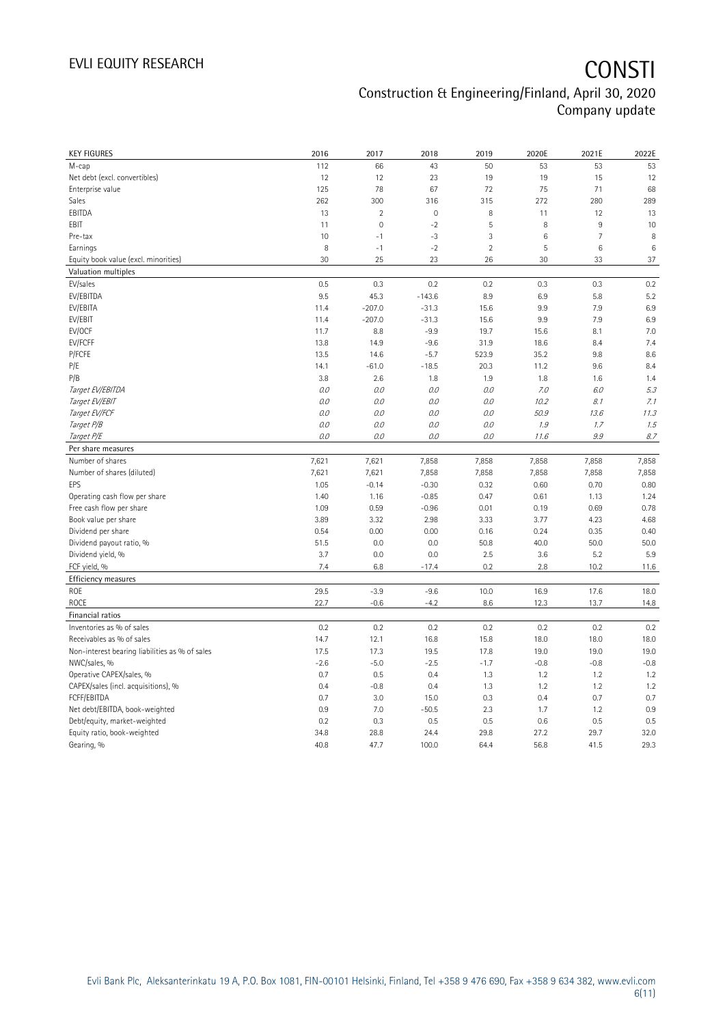| <b>KEY FIGURES</b>                             | 2016         | 2017         | 2018          | 2019           | 2020E           | 2021E          | 2022E           |
|------------------------------------------------|--------------|--------------|---------------|----------------|-----------------|----------------|-----------------|
| M-cap                                          | 112          | 66           | 43            | 50             | 53              | 53             | 53              |
| Net debt (excl. convertibles)                  | 12           | 12           | 23            | 19             | 19              | 15             | 12              |
| Enterprise value                               | 125          | 78           | 67            | 72             | 75              | 71             | 68              |
| Sales                                          | 262          | 300          | 316           | 315            | 272             | 280            | 289             |
| EBITDA                                         | 13           | $\sqrt{2}$   | $\mathbf 0$   | 8              | 11              | 12             | 13              |
| EBIT                                           | 11           | $\mathbf{0}$ | $-2$          | 5              | 8               | 9              | 10              |
| Pre-tax                                        | 10           | $-1$         | $-3$          | 3              | $6\phantom{1}6$ | $\overline{7}$ | 8               |
| Earnings                                       | 8            | $-1$         | $-2$          | $\overline{2}$ | $\overline{5}$  | 6              | $6\phantom{1}6$ |
| Equity book value (excl. minorities)           | 30           | 25           | 23            | 26             | 30              | 33             | 37              |
| Valuation multiples                            |              |              |               |                |                 |                |                 |
| EV/sales                                       | 0.5          | 0.3          | 0.2           | 0.2            | 0.3             | 0.3            | 0.2             |
| EV/EBITDA                                      | 9.5          | 45.3         | $-143.6$      | 8.9            | 6.9             | 5.8            | 5.2             |
| EV/EBITA                                       | 11.4         | $-207.0$     | $-31.3$       | 15.6           | 9.9             | 7.9            | 6.9             |
| EV/EBIT                                        | 11.4         | $-207.0$     | $-31.3$       | 15.6           | 9.9             | 7.9            | 6.9             |
| EV/OCF                                         | 11.7         | 8.8          | $-9.9$        | 19.7           | 15.6            | 8.1            | 7.0             |
| EV/FCFF                                        | 13.8         | 14.9         | $-9.6$        | 31.9           | 18.6            | 8.4            | 7.4             |
| P/FCFE                                         | 13.5         | 14.6         | $-5.7$        | 523.9          | 35.2            | 9.8            | 8.6             |
| P/E                                            | 14.1         | $-61.0$      | $-18.5$       | 20.3           | 11.2            | 9.6            | 8.4             |
| P/B                                            | 3.8          | 2.6          | 1.8           | 1.9            | 1.8             | 1.6            | 1.4             |
| Target EV/EBITDA                               | O.O          | 0.0          | 0.0           | $O.O$          | 7.0             | 6.0            | 5.3             |
| Target EV/EBIT                                 | $0.0$        | $O.O$        | 0.0           | $O.O$          | 10.2            | 8.1            | 7.1             |
| Target EV/FCF                                  | 0.0          | $O.O$        | 0.0           | $O.O$          | 50.9            | 13.6           | 11.3            |
| Target P/B                                     | O.O          | 0.0          | 0.0           | 0.0            | 1.9             | 1.7            | 1.5             |
| Target P/E                                     | 0.0          | $O.O$        | 0.0           | 0.0            | 11.6            | 9.9            | 8.7             |
| Per share measures                             |              |              |               |                |                 |                |                 |
| Number of shares                               | 7,621        | 7,621        | 7,858         | 7,858          | 7,858           | 7,858          | 7,858           |
| Number of shares (diluted)                     | 7,621        | 7,621        | 7,858         | 7,858          | 7,858           | 7,858          | 7,858           |
| EPS                                            | 1.05         | $-0.14$      | $-0.30$       | 0.32           | 0.60            | 0.70           | 0.80            |
| Operating cash flow per share                  | 1.40         | 1.16         | $-0.85$       | 0.47           | 0.61            | 1.13           | 1.24            |
| Free cash flow per share                       | 1.09         | 0.59         | $-0.96$       | 0.01           | 0.19            | 0.69           | 0.78            |
| Book value per share                           | 3.89         | 3.32         | 2.98          | 3.33           | 3.77            | 4.23           | 4.68            |
| Dividend per share                             | 0.54         | 0.00         | 0.00          | 0.16           | 0.24            | 0.35           | 0.40            |
| Dividend payout ratio, %                       | 51.5         | 0.0          | 0.0           | 50.8           | 40.0            | 50.0           | 50.0            |
| Dividend yield, %                              | 3.7          | 0.0          | 0.0           | 2.5            | 3.6             | 5.2            | 5.9             |
| FCF yield, %                                   | 7.4          | 6.8          | $-17.4$       | 0.2            | 2.8             | 10.2           | 11.6            |
| Efficiency measures                            |              |              |               |                |                 |                |                 |
| <b>ROE</b>                                     | 29.5         | $-3.9$       | $-9.6$        | 10.0           | 16.9            | 17.6           | 18.0            |
| <b>ROCE</b>                                    | 22.7         | $-0.6$       |               |                |                 |                |                 |
|                                                |              |              | $-4.2$        | 8.6            | 12.3            | 13.7           | 14.8            |
| Financial ratios                               |              |              |               |                |                 |                |                 |
| Inventories as % of sales                      | 0.2          | 0.2          | 0.2           | 0.2            | 0.2             | 0.2            | 0.2             |
| Receivables as % of sales                      | 14.7         | 12.1         | 16.8          | 15.8           | 18.0            | 18.0           | 18.0            |
| Non-interest bearing liabilities as % of sales | 17.5         | 17.3         | 19.5          | 17.8           | 19.0            | 19.0           | 19.0            |
| NWC/sales, %                                   | $-2.6$       | $-5.0$       | $-2.5$        | $-1.7$         | $-0.8$          | $-0.8$         | $-0.8$          |
| Operative CAPEX/sales, %                       | 0.7          | 0.5          | 0.4           | 1.3            | 1.2             | 1.2            | 1.2             |
| CAPEX/sales (incl. acquisitions), %            | 0.4          | $-0.8$       | 0.4           | 1.3            | 1.2             | 1.2            | 1.2             |
| FCFF/EBITDA                                    | 0.7          | 3.0          | 15.0          | 0.3            | 0.4             | 0.7            | 0.7             |
| Net debt/EBITDA, book-weighted                 | 0.9          | 7.0          | $-50.5$       | 2.3            | 1.7             | 1.2            | 0.9             |
| Debt/equity, market-weighted                   | 0.2          | 0.3          | 0.5           | 0.5            | 0.6             | 0.5            | 0.5             |
|                                                |              |              |               |                |                 |                |                 |
| Equity ratio, book-weighted<br>Gearing, %      | 34.8<br>40.8 | 28.8<br>47.7 | 24.4<br>100.0 | 29.8<br>64.4   | 27.2<br>56.8    | 29.7<br>41.5   | 32.0<br>29.3    |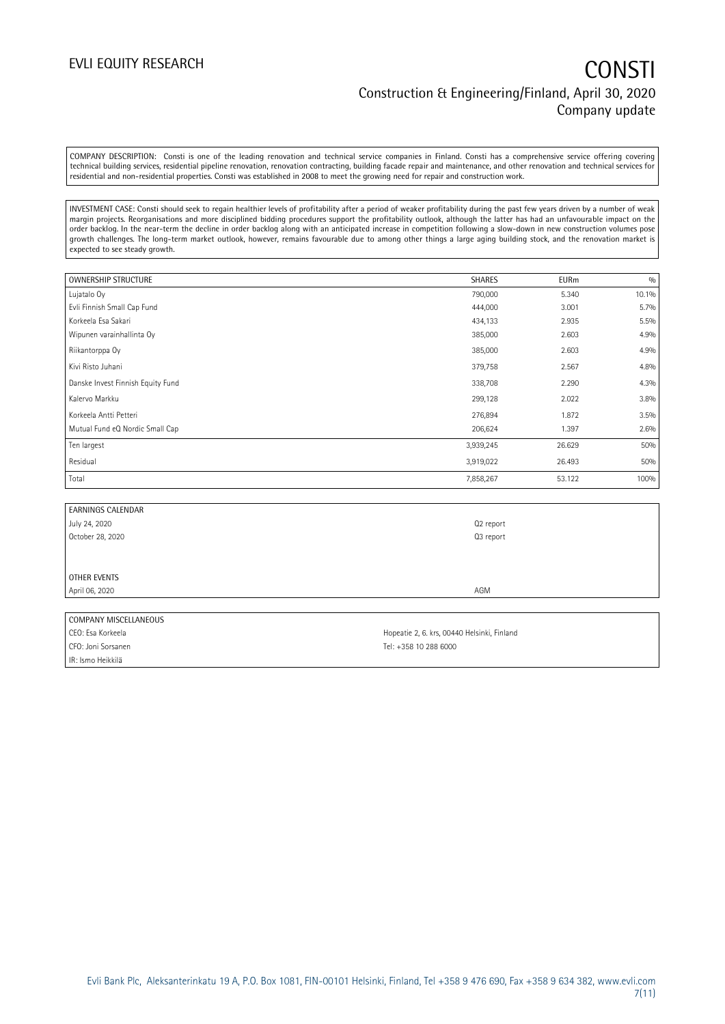COMPANY DESCRIPTION: Consti is one of the leading renovation and technical service companies in Finland. Consti has a comprehensive service offering covering technical building services, residential pipeline renovation, renovation contracting, building facade repair and maintenance, and other renovation and technical services for residential and non-residential properties. Consti was established in 2008 to meet the growing need for repair and construction work.

INVESTMENT CASE: Consti should seek to regain healthier levels of profitability after a period of weaker profitability during the past few years driven by a number of weak margin projects. Reorganisations and more disciplined bidding procedures support the profitability outlook, although the latter has had an unfavourable impact on the order backlog. In the near-term the decline in order backlog along with an anticipated increase in competition following a slow-down in new construction volumes pose growth challenges. The long-term market outlook, however, remains favourable due to among other things a large aging building stock, and the renovation market is expected to see steady growth.

| <b>OWNERSHIP STRUCTURE</b>        | <b>SHARES</b> | <b>EURm</b> | 0/0   |
|-----------------------------------|---------------|-------------|-------|
| Lujatalo Oy                       | 790,000       | 5.340       | 10.1% |
| Evli Finnish Small Cap Fund       | 444,000       | 3.001       | 5.7%  |
| Korkeela Esa Sakari               | 434,133       | 2.935       | 5.5%  |
| Wipunen varainhallinta Oy         | 385,000       | 2.603       | 4.9%  |
| Riikantorppa Oy                   | 385,000       | 2.603       | 4.9%  |
| Kivi Risto Juhani                 | 379,758       | 2.567       | 4.8%  |
| Danske Invest Finnish Equity Fund | 338,708       | 2.290       | 4.3%  |
| Kalervo Markku                    | 299,128       | 2.022       | 3.8%  |
| Korkeela Antti Petteri            | 276,894       | 1.872       | 3.5%  |
| Mutual Fund eQ Nordic Small Cap   | 206,624       | 1.397       | 2.6%  |
| Ten largest                       | 3,939,245     | 26.629      | 50%   |
| Residual                          | 3,919,022     | 26.493      | 50%   |
| Total                             | 7,858,267     | 53.122      | 100%  |

| <b>EARNINGS CALENDAR</b>          |           |
|-----------------------------------|-----------|
| July 24, 2020<br>October 28, 2020 | Q2 report |
|                                   | Q3 report |
|                                   |           |
|                                   |           |
| OTHER EVENTS                      |           |
| April 06, 2020                    | AGM       |
|                                   |           |

### COMPANY MISCELLANEOUS

CFO: Joni Sorsanen Tel: +358 10 288 6000 IR: Ismo Heikkilä

CEO: Esa Korkeela **Hopeatie 2, 6. krs, 00440 Helsinki, Finland**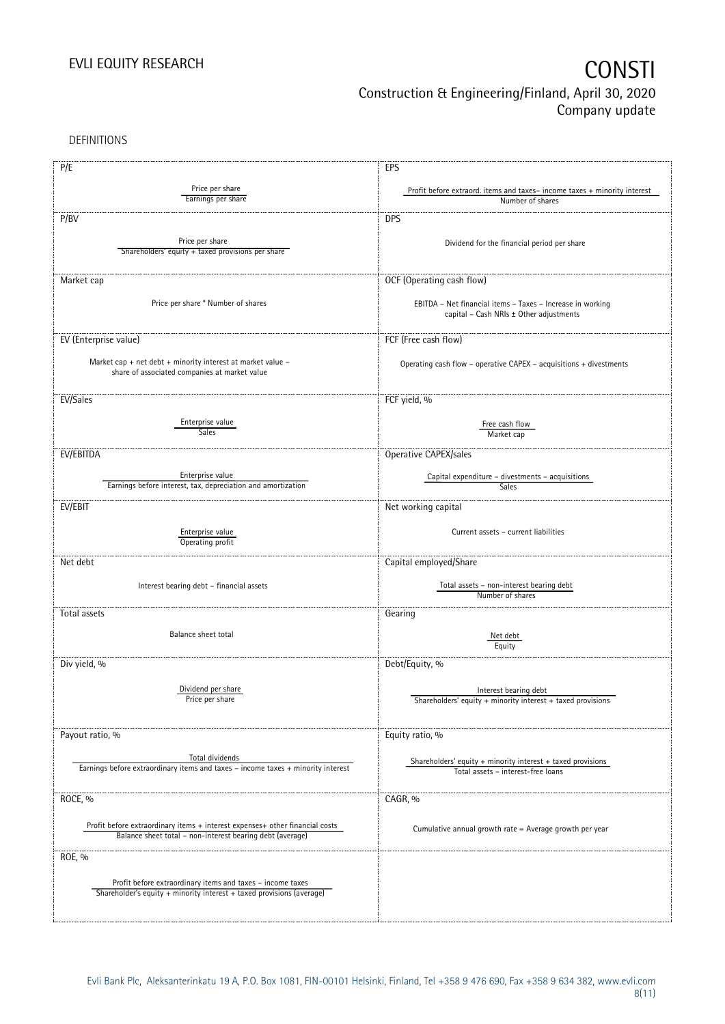DEFINITIONS

| P/E                                                                              | EPS                                                                                                   |
|----------------------------------------------------------------------------------|-------------------------------------------------------------------------------------------------------|
|                                                                                  |                                                                                                       |
| Price per share<br>Earnings per share                                            | Profit before extraord. items and taxes-income taxes + minority interest                              |
|                                                                                  | Number of shares                                                                                      |
| P/BV                                                                             | <b>DPS</b>                                                                                            |
|                                                                                  |                                                                                                       |
| Price per share                                                                  | Dividend for the financial period per share                                                           |
| Shareholders' equity + taxed provisions per share                                |                                                                                                       |
|                                                                                  |                                                                                                       |
| Market cap                                                                       | OCF (Operating cash flow)                                                                             |
|                                                                                  |                                                                                                       |
| Price per share * Number of shares                                               | EBITDA - Net financial items - Taxes - Increase in working                                            |
|                                                                                  | capital - Cash NRIs ± Other adjustments                                                               |
|                                                                                  |                                                                                                       |
| EV (Enterprise value)                                                            | FCF (Free cash flow)                                                                                  |
|                                                                                  |                                                                                                       |
| Market cap + net debt + minority interest at market value $-$                    | Operating cash flow - operative CAPEX - acquisitions + divestments                                    |
| share of associated companies at market value                                    |                                                                                                       |
|                                                                                  |                                                                                                       |
| EV/Sales                                                                         | FCF yield, %                                                                                          |
|                                                                                  |                                                                                                       |
| Enterprise value                                                                 | Free cash flow                                                                                        |
| Sales                                                                            | Market cap                                                                                            |
| EV/EBITDA                                                                        | Operative CAPEX/sales                                                                                 |
|                                                                                  |                                                                                                       |
| Enterprise value                                                                 | Capital expenditure - divestments - acquisitions                                                      |
| Earnings before interest, tax, depreciation and amortization                     | Sales                                                                                                 |
|                                                                                  |                                                                                                       |
| EV/EBIT                                                                          | Net working capital                                                                                   |
|                                                                                  |                                                                                                       |
| Enterprise value                                                                 | Current assets - current liabilities                                                                  |
| Operating profit                                                                 |                                                                                                       |
| Net debt                                                                         | Capital employed/Share                                                                                |
|                                                                                  |                                                                                                       |
| Interest bearing debt - financial assets                                         | Total assets - non-interest bearing debt                                                              |
|                                                                                  | Number of shares                                                                                      |
| Total assets                                                                     | Gearing                                                                                               |
|                                                                                  |                                                                                                       |
| Balance sheet total                                                              | Net debt                                                                                              |
|                                                                                  | Equity                                                                                                |
|                                                                                  |                                                                                                       |
| Div yield, %                                                                     | Debt/Equity, %                                                                                        |
|                                                                                  |                                                                                                       |
| Dividend per share<br>Price per share                                            | Interest bearing debt                                                                                 |
|                                                                                  | Shareholders' equity + minority interest + taxed provisions                                           |
|                                                                                  |                                                                                                       |
| Payout ratio, %                                                                  | Equity ratio, %                                                                                       |
|                                                                                  |                                                                                                       |
| Total dividends                                                                  |                                                                                                       |
| Earnings before extraordinary items and taxes - income taxes + minority interest | Shareholders' equity $+$ minority interest $+$ taxed provisions<br>Total assets - interest-free loans |
|                                                                                  |                                                                                                       |
|                                                                                  | CAGR, %                                                                                               |
| ROCE, %                                                                          |                                                                                                       |
|                                                                                  |                                                                                                       |
| Profit before extraordinary items + interest expenses+ other financial costs     | Cumulative annual growth rate = Average growth per year                                               |
| Balance sheet total - non-interest bearing debt (average)                        |                                                                                                       |
| ROE, %                                                                           |                                                                                                       |
|                                                                                  |                                                                                                       |
| Profit before extraordinary items and taxes - income taxes                       |                                                                                                       |
| Shareholder's equity + minority interest + taxed provisions (average)            |                                                                                                       |
|                                                                                  |                                                                                                       |
|                                                                                  |                                                                                                       |
|                                                                                  |                                                                                                       |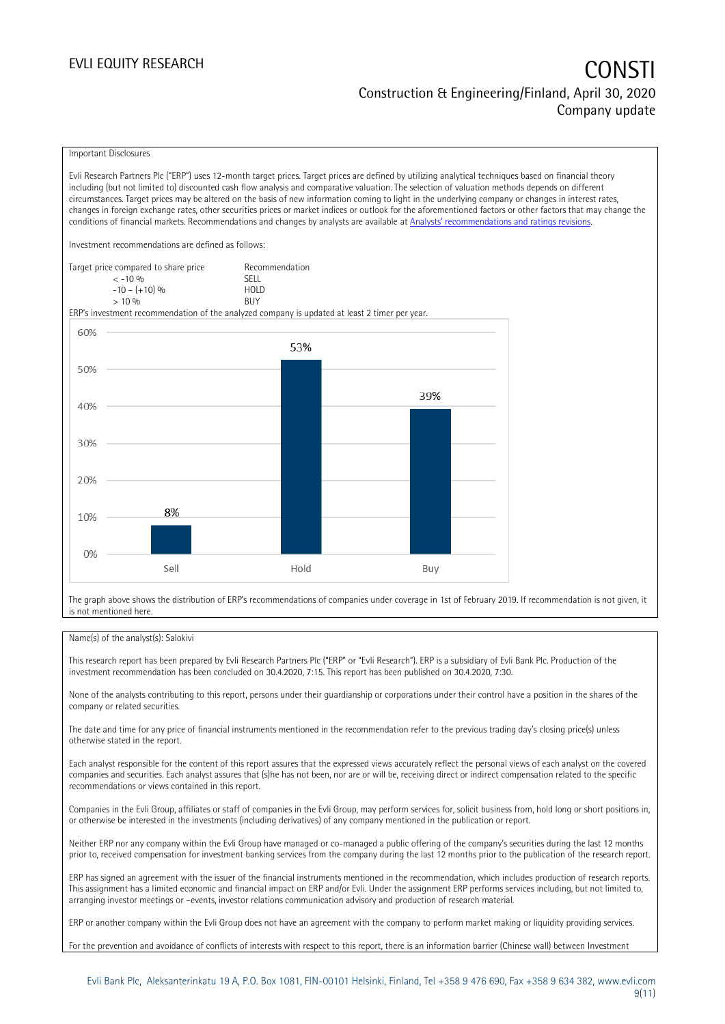### EVLI EQUITY RESEARCH **CONSTITUTE OF A CONSTITUTE OF A CONSTITUTE OF A CONSTITUTE OF A CONSTITUTE OF A CONSTITUTE** Construction & Engineering/Finland, April 30, 2020 Company update

### Important Disclosures

Evli Research Partners Plc ("ERP") uses 12-month target prices. Target prices are defined by utilizing analytical techniques based on financial theory including (but not limited to) discounted cash flow analysis and comparative valuation. The selection of valuation methods depends on different circumstances. Target prices may be altered on the basis of new information coming to light in the underlying company or changes in interest rates, changes in foreign exchange rates, other securities prices or market indices or outlook for the aforementioned factors or other factors that may change the conditions of financial markets. Recommendations and changes by analysts are available at [Analysts' recommendations and ratings revisions](https://research.evli.com/JasperAllModels.action?authParam=key;461&authParam=x;G3rNagWrtf7K&authType=3).

Investment recommendations are defined as follows:

| Target price compared to share price | Recommendation                |
|--------------------------------------|-------------------------------|
| $<-10.96$                            | <b>SELL</b>                   |
| $-10 - (+10)$ %                      | H <sub>O</sub> I <sub>D</sub> |
| $> 10\%$                             | <b>BUY</b>                    |

ERP's investment recommendation of the analyzed company is updated at least 2 timer per year.



The graph above shows the distribution of ERP's recommendations of companies under coverage in 1st of February 2019. If recommendation is not given, it is not mentioned here.

### Name(s) of the analyst(s): Salokivi

This research report has been prepared by Evli Research Partners Plc ("ERP" or "Evli Research"). ERP is a subsidiary of Evli Bank Plc. Production of the investment recommendation has been concluded on 30.4.2020, 7:15. This report has been published on 30.4.2020, 7:30.

None of the analysts contributing to this report, persons under their guardianship or corporations under their control have a position in the shares of the company or related securities.

The date and time for any price of financial instruments mentioned in the recommendation refer to the previous trading day's closing price(s) unless otherwise stated in the report.

Each analyst responsible for the content of this report assures that the expressed views accurately reflect the personal views of each analyst on the covered companies and securities. Each analyst assures that (s)he has not been, nor are or will be, receiving direct or indirect compensation related to the specific recommendations or views contained in this report.

Companies in the Evli Group, affiliates or staff of companies in the Evli Group, may perform services for, solicit business from, hold long or short positions in, or otherwise be interested in the investments (including derivatives) of any company mentioned in the publication or report.

Neither ERP nor any company within the Evli Group have managed or co-managed a public offering of the company's securities during the last 12 months prior to, received compensation for investment banking services from the company during the last 12 months prior to the publication of the research report.

ERP has signed an agreement with the issuer of the financial instruments mentioned in the recommendation, which includes production of research reports. This assignment has a limited economic and financial impact on ERP and/or Evli. Under the assignment ERP performs services including, but not limited to, arranging investor meetings or –events, investor relations communication advisory and production of research material.

ERP or another company within the Evli Group does not have an agreement with the company to perform market making or liquidity providing services.

For the prevention and avoidance of conflicts of interests with respect to this report, there is an information barrier (Chinese wall) between Investment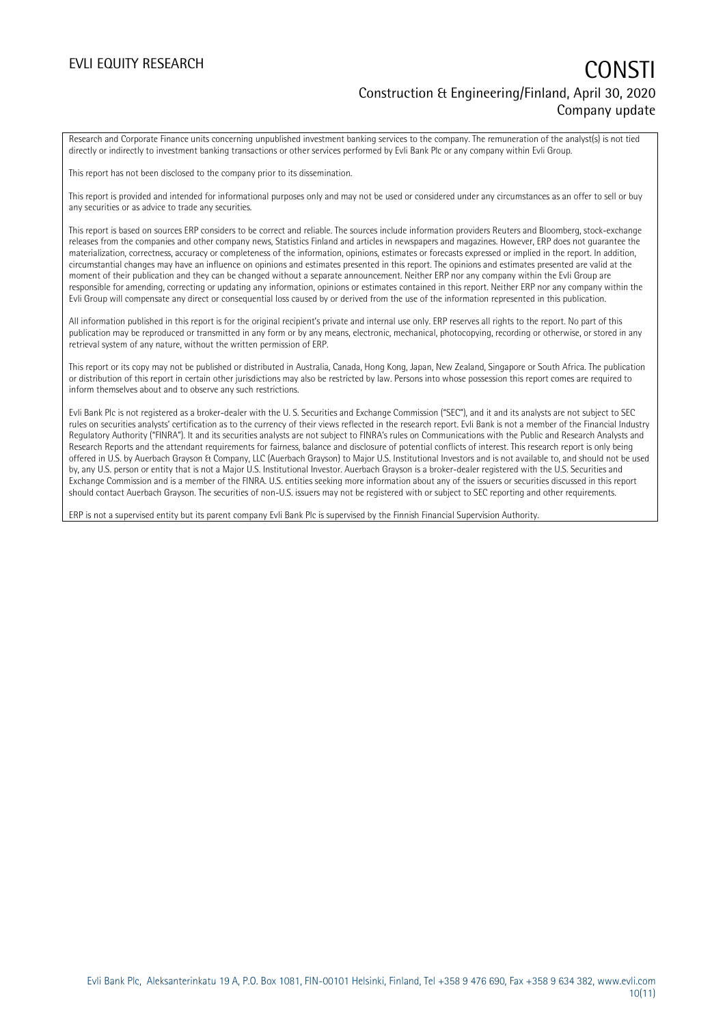### EVLI EQUITY RESEARCH **CONSTITUTE OF A CONSTITUTE OF A CONSTITUTE OF A CONSTITUTE OF A CONSTITUTE OF A CONSTITUTE** Construction & Engineering/Finland, April 30, 2020 Company update

Research and Corporate Finance units concerning unpublished investment banking services to the company. The remuneration of the analyst(s) is not tied directly or indirectly to investment banking transactions or other services performed by Evli Bank Plc or any company within Evli Group.

This report has not been disclosed to the company prior to its dissemination.

This report is provided and intended for informational purposes only and may not be used or considered under any circumstances as an offer to sell or buy any securities or as advice to trade any securities.

This report is based on sources ERP considers to be correct and reliable. The sources include information providers Reuters and Bloomberg, stock-exchange releases from the companies and other company news, Statistics Finland and articles in newspapers and magazines. However, ERP does not guarantee the materialization, correctness, accuracy or completeness of the information, opinions, estimates or forecasts expressed or implied in the report. In addition, circumstantial changes may have an influence on opinions and estimates presented in this report. The opinions and estimates presented are valid at the moment of their publication and they can be changed without a separate announcement. Neither ERP nor any company within the Evli Group are responsible for amending, correcting or updating any information, opinions or estimates contained in this report. Neither ERP nor any company within the Evli Group will compensate any direct or consequential loss caused by or derived from the use of the information represented in this publication.

All information published in this report is for the original recipient's private and internal use only. ERP reserves all rights to the report. No part of this publication may be reproduced or transmitted in any form or by any means, electronic, mechanical, photocopying, recording or otherwise, or stored in any retrieval system of any nature, without the written permission of ERP.

This report or its copy may not be published or distributed in Australia, Canada, Hong Kong, Japan, New Zealand, Singapore or South Africa. The publication or distribution of this report in certain other jurisdictions may also be restricted by law. Persons into whose possession this report comes are required to inform themselves about and to observe any such restrictions.

Evli Bank Plc is not registered as a broker-dealer with the U. S. Securities and Exchange Commission ("SEC"), and it and its analysts are not subject to SEC rules on securities analysts' certification as to the currency of their views reflected in the research report. Evli Bank is not a member of the Financial Industry Regulatory Authority ("FINRA"). It and its securities analysts are not subject to FINRA's rules on Communications with the Public and Research Analysts and Research Reports and the attendant requirements for fairness, balance and disclosure of potential conflicts of interest. This research report is only being offered in U.S. by Auerbach Grayson & Company, LLC (Auerbach Grayson) to Major U.S. Institutional Investors and is not available to, and should not be used by, any U.S. person or entity that is not a Major U.S. Institutional Investor. Auerbach Grayson is a broker-dealer registered with the U.S. Securities and Exchange Commission and is a member of the FINRA. U.S. entities seeking more information about any of the issuers or securities discussed in this report should contact Auerbach Grayson. The securities of non-U.S. issuers may not be registered with or subject to SEC reporting and other requirements.

ERP is not a supervised entity but its parent company Evli Bank Plc is supervised by the Finnish Financial Supervision Authority.